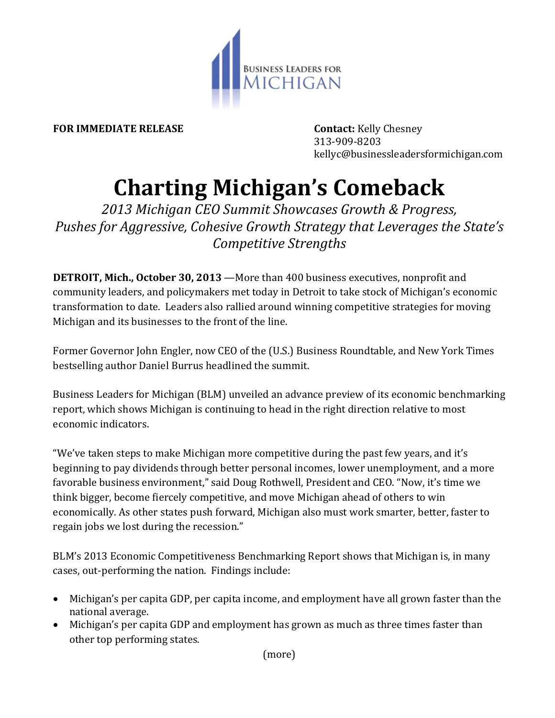

**FOR IMMEDIATE RELEASE Contact:** Kelly Chesney

313-909-8203 kellyc@businessleadersformichigan.com

## **Charting Michigan's Comeback**

*2013 Michigan CEO Summit Showcases Growth & Progress, Pushes for Aggressive, Cohesive Growth Strategy that Leverages the State's Competitive Strengths*

**DETROIT, Mich., October 30, 2013** —More than 400 business executives, nonprofit and community leaders, and policymakers met today in Detroit to take stock of Michigan's economic transformation to date. Leaders also rallied around winning competitive strategies for moving Michigan and its businesses to the front of the line.

Former Governor John Engler, now CEO of the (U.S.) Business Roundtable, and New York Times bestselling author Daniel Burrus headlined the summit.

Business Leaders for Michigan (BLM) unveiled an advance preview of its economic benchmarking report, which shows Michigan is continuing to head in the right direction relative to most economic indicators.

"We've taken steps to make Michigan more competitive during the past few years, and it's beginning to pay dividends through better personal incomes, lower unemployment, and a more favorable business environment," said Doug Rothwell, President and CEO. "Now, it's time we think bigger, become fiercely competitive, and move Michigan ahead of others to win economically. As other states push forward, Michigan also must work smarter, better, faster to regain jobs we lost during the recession."

BLM's 2013 Economic Competitiveness Benchmarking Report shows that Michigan is, in many cases, out-performing the nation. Findings include:

- Michigan's per capita GDP, per capita income, and employment have all grown faster than the national average.
- Michigan's per capita GDP and employment has grown as much as three times faster than other top performing states.